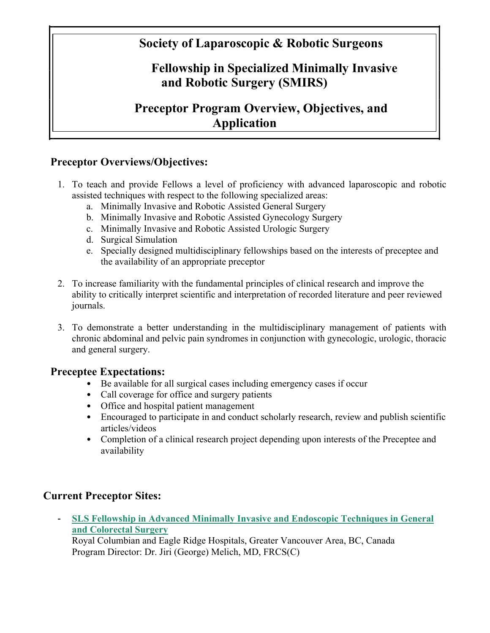# **Society of Laparoscopic & Robotic Surgeons**

# **Fellowship in Specialized Minimally Invasive and Robotic Surgery (SMIRS)**

# **Preceptor Program Overview, Objectives, and Application**

## **Preceptor Overviews/Objectives:**

- 1. To teach and provide Fellows a level of proficiency with advanced laparoscopic and robotic assisted techniques with respect to the following specialized areas:
	- a. Minimally Invasive and Robotic Assisted General Surgery
	- b. Minimally Invasive and Robotic Assisted Gynecology Surgery
	- c. Minimally Invasive and Robotic Assisted Urologic Surgery
	- d. Surgical Simulation
	- e. Specially designed multidisciplinary fellowships based on the interests of preceptee and the availability of an appropriate preceptor
- 2. To increase familiarity with the fundamental principles of clinical research and improve the ability to critically interpret scientific and interpretation of recorded literature and peer reviewed journals.
- 3. To demonstrate a better understanding in the multidisciplinary management of patients with chronic abdominal and pelvic pain syndromes in conjunction with gynecologic, urologic, thoracic and general surgery.

### **Preceptee Expectations:**

- Be available for all surgical cases including emergency cases if occur
- Call coverage for office and surgery patients
- Office and hospital patient management
- Encouraged to participate in and conduct scholarly research, review and publish scientific articles/videos
- Completion of a clinical research project depending upon interests of the Preceptee and availability

# **Current Preceptor Sites:**

- **SLS Fellowship in Advanced Minimally Invasive and Endoscopic Techniques in General and Colorectal Surgery**

Royal Columbian and Eagle Ridge Hospitals, Greater Vancouver Area, BC, Canada Program Director: Dr. Jiri (George) Melich, MD, FRCS(C)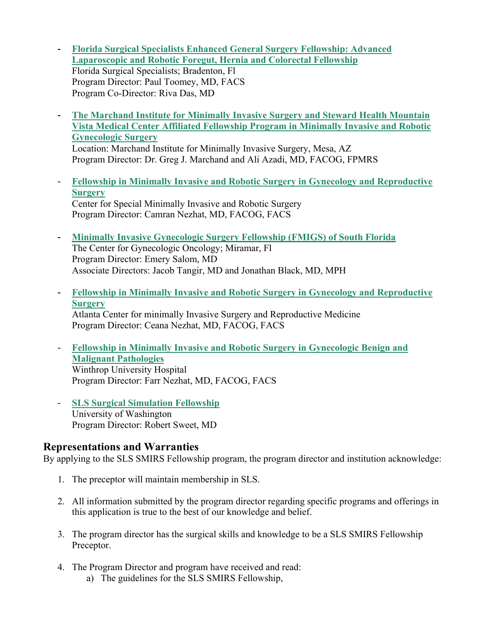- **Florida Surgical Specialists Enhanced General Surgery Fellowship: Advanced Laparoscopic and Robotic Foregut, Hernia and Colorectal Fellowship** Florida Surgical Specialists; Bradenton, Fl Program Director: Paul Toomey, MD, FACS Program Co-Director: Riva Das, MD
- **The Marchand Institute for Minimally Invasive Surgery and Steward Health Mountain Vista Medical Center Affiliated Fellowship Program in Minimally Invasive and Robotic Gynecologic Surgery** Location: Marchand Institute for Minimally Invasive Surgery, Mesa, AZ

Program Director: Dr. Greg J. Marchand and Ali Azadi, MD, FACOG, FPMRS

- **Fellowship in Minimally Invasive and Robotic Surgery in Gynecology and Reproductive Surgery** Center for Special Minimally Invasive and Robotic Surgery Program Director: Camran Nezhat, MD, FACOG, FACS
- **Minimally Invasive Gynecologic Surgery Fellowship (FMIGS) of South Florida** The Center for Gynecologic Oncology; Miramar, Fl Program Director: Emery Salom, MD Associate Directors: Jacob Tangir, MD and Jonathan Black, MD, MPH
- **Fellowship in Minimally Invasive and Robotic Surgery in Gynecology and Reproductive Surgery** Atlanta Center for minimally Invasive Surgery and Reproductive Medicine Program Director: Ceana Nezhat, MD, FACOG, FACS
- **Fellowship in Minimally Invasive and Robotic Surgery in Gynecologic Benign and Malignant Pathologies** Winthrop University Hospital Program Director: Farr Nezhat, MD, FACOG, FACS
- **SLS Surgical Simulation Fellowship** University of Washington Program Director: Robert Sweet, MD

### **Representations and Warranties**

By applying to the SLS SMIRS Fellowship program, the program director and institution acknowledge:

- 1. The preceptor will maintain membership in SLS.
- 2. All information submitted by the program director regarding specific programs and offerings in this application is true to the best of our knowledge and belief.
- 3. The program director has the surgical skills and knowledge to be a SLS SMIRS Fellowship Preceptor.
- 4. The Program Director and program have received and read: a) The guidelines for the SLS SMIRS Fellowship,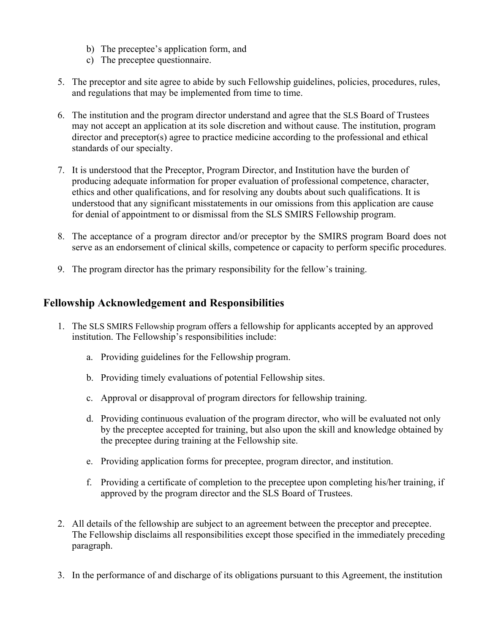- b) The preceptee's application form, and
- c) The preceptee questionnaire.
- 5. The preceptor and site agree to abide by such Fellowship guidelines, policies, procedures, rules, and regulations that may be implemented from time to time.
- 6. The institution and the program director understand and agree that the SLS Board of Trustees may not accept an application at its sole discretion and without cause. The institution, program director and preceptor(s) agree to practice medicine according to the professional and ethical standards of our specialty.
- 7. It is understood that the Preceptor, Program Director, and Institution have the burden of producing adequate information for proper evaluation of professional competence, character, ethics and other qualifications, and for resolving any doubts about such qualifications. It is understood that any significant misstatements in our omissions from this application are cause for denial of appointment to or dismissal from the SLS SMIRS Fellowship program.
- 8. The acceptance of a program director and/or preceptor by the SMIRS program Board does not serve as an endorsement of clinical skills, competence or capacity to perform specific procedures.
- 9. The program director has the primary responsibility for the fellow's training.

### **Fellowship Acknowledgement and Responsibilities**

- 1. The SLS SMIRS Fellowship program offers a fellowship for applicants accepted by an approved institution. The Fellowship's responsibilities include:
	- a. Providing guidelines for the Fellowship program.
	- b. Providing timely evaluations of potential Fellowship sites.
	- c. Approval or disapproval of program directors for fellowship training.
	- d. Providing continuous evaluation of the program director, who will be evaluated not only by the preceptee accepted for training, but also upon the skill and knowledge obtained by the preceptee during training at the Fellowship site.
	- e. Providing application forms for preceptee, program director, and institution.
	- f. Providing a certificate of completion to the preceptee upon completing his/her training, if approved by the program director and the SLS Board of Trustees.
- 2. All details of the fellowship are subject to an agreement between the preceptor and preceptee. The Fellowship disclaims all responsibilities except those specified in the immediately preceding paragraph.
- 3. In the performance of and discharge of its obligations pursuant to this Agreement, the institution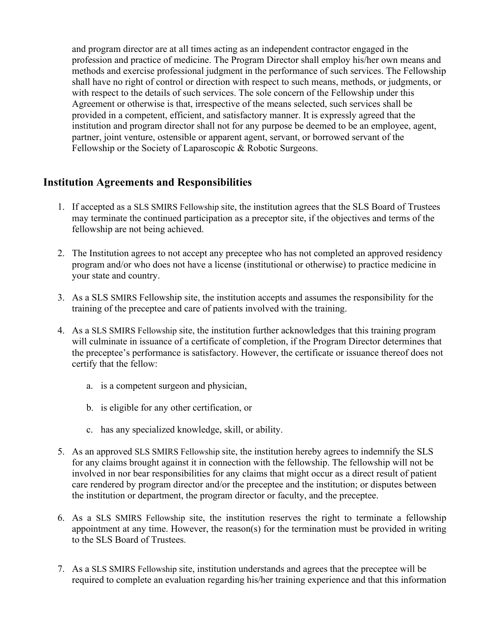and program director are at all times acting as an independent contractor engaged in the profession and practice of medicine. The Program Director shall employ his/her own means and methods and exercise professional judgment in the performance of such services. The Fellowship shall have no right of control or direction with respect to such means, methods, or judgments, or with respect to the details of such services. The sole concern of the Fellowship under this Agreement or otherwise is that, irrespective of the means selected, such services shall be provided in a competent, efficient, and satisfactory manner. It is expressly agreed that the institution and program director shall not for any purpose be deemed to be an employee, agent, partner, joint venture, ostensible or apparent agent, servant, or borrowed servant of the Fellowship or the Society of Laparoscopic & Robotic Surgeons.

### **Institution Agreements and Responsibilities**

- 1. If accepted as a SLS SMIRS Fellowship site, the institution agrees that the SLS Board of Trustees may terminate the continued participation as a preceptor site, if the objectives and terms of the fellowship are not being achieved.
- 2. The Institution agrees to not accept any preceptee who has not completed an approved residency program and/or who does not have a license (institutional or otherwise) to practice medicine in your state and country.
- 3. As a SLS SMIRS Fellowship site, the institution accepts and assumes the responsibility for the training of the preceptee and care of patients involved with the training.
- 4. As a SLS SMIRS Fellowship site, the institution further acknowledges that this training program will culminate in issuance of a certificate of completion, if the Program Director determines that the preceptee's performance is satisfactory. However, the certificate or issuance thereof does not certify that the fellow:
	- a. is a competent surgeon and physician,
	- b. is eligible for any other certification, or
	- c. has any specialized knowledge, skill, or ability.
- 5. As an approved SLS SMIRS Fellowship site, the institution hereby agrees to indemnify the SLS for any claims brought against it in connection with the fellowship. The fellowship will not be involved in nor bear responsibilities for any claims that might occur as a direct result of patient care rendered by program director and/or the preceptee and the institution; or disputes between the institution or department, the program director or faculty, and the preceptee.
- 6. As a SLS SMIRS Fellowship site, the institution reserves the right to terminate a fellowship appointment at any time. However, the reason(s) for the termination must be provided in writing to the SLS Board of Trustees.
- 7. As a SLS SMIRS Fellowship site, institution understands and agrees that the preceptee will be required to complete an evaluation regarding his/her training experience and that this information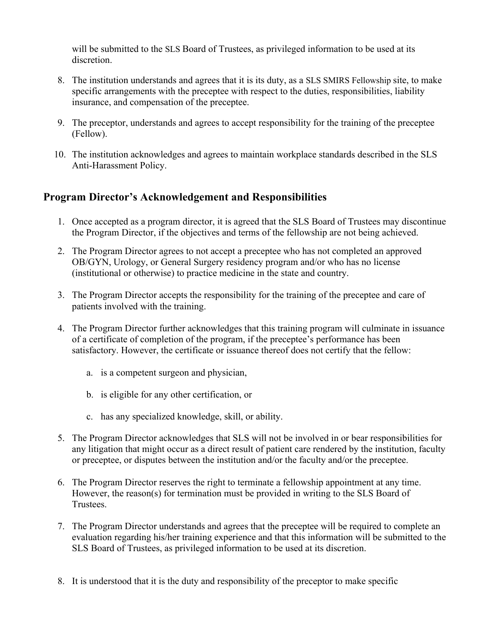will be submitted to the SLS Board of Trustees, as privileged information to be used at its discretion.

- 8. The institution understands and agrees that it is its duty, as a SLS SMIRS Fellowship site, to make specific arrangements with the preceptee with respect to the duties, responsibilities, liability insurance, and compensation of the preceptee.
- 9. The preceptor, understands and agrees to accept responsibility for the training of the preceptee (Fellow).
- 10. The institution acknowledges and agrees to maintain workplace standards described in the SLS Anti-Harassment Policy.

## **Program Director's Acknowledgement and Responsibilities**

- 1. Once accepted as a program director, it is agreed that the SLS Board of Trustees may discontinue the Program Director, if the objectives and terms of the fellowship are not being achieved.
- 2. The Program Director agrees to not accept a preceptee who has not completed an approved OB/GYN, Urology, or General Surgery residency program and/or who has no license (institutional or otherwise) to practice medicine in the state and country.
- 3. The Program Director accepts the responsibility for the training of the preceptee and care of patients involved with the training.
- 4. The Program Director further acknowledges that this training program will culminate in issuance of a certificate of completion of the program, if the preceptee's performance has been satisfactory. However, the certificate or issuance thereof does not certify that the fellow:
	- a. is a competent surgeon and physician,
	- b. is eligible for any other certification, or
	- c. has any specialized knowledge, skill, or ability.
- 5. The Program Director acknowledges that SLS will not be involved in or bear responsibilities for any litigation that might occur as a direct result of patient care rendered by the institution, faculty or preceptee, or disputes between the institution and/or the faculty and/or the preceptee.
- 6. The Program Director reserves the right to terminate a fellowship appointment at any time. However, the reason(s) for termination must be provided in writing to the SLS Board of Trustees.
- 7. The Program Director understands and agrees that the preceptee will be required to complete an evaluation regarding his/her training experience and that this information will be submitted to the SLS Board of Trustees, as privileged information to be used at its discretion.
- 8. It is understood that it is the duty and responsibility of the preceptor to make specific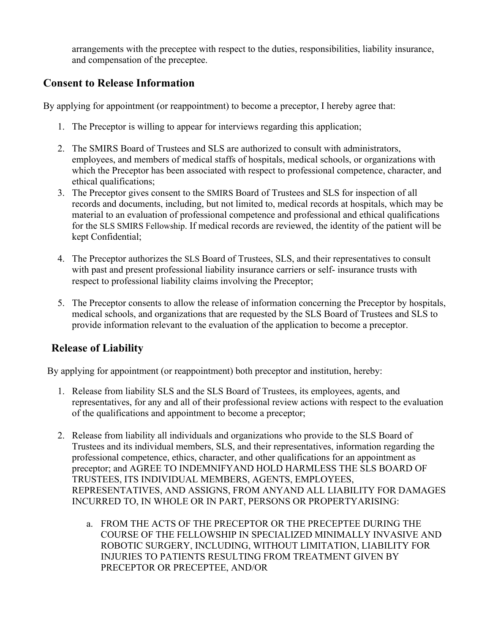arrangements with the preceptee with respect to the duties, responsibilities, liability insurance, and compensation of the preceptee.

# **Consent to Release Information**

By applying for appointment (or reappointment) to become a preceptor, I hereby agree that:

- 1. The Preceptor is willing to appear for interviews regarding this application;
- 2. The SMIRS Board of Trustees and SLS are authorized to consult with administrators, employees, and members of medical staffs of hospitals, medical schools, or organizations with which the Preceptor has been associated with respect to professional competence, character, and ethical qualifications;
- 3. The Preceptor gives consent to the SMIRS Board of Trustees and SLS for inspection of all records and documents, including, but not limited to, medical records at hospitals, which may be material to an evaluation of professional competence and professional and ethical qualifications for the SLS SMIRS Fellowship. If medical records are reviewed, the identity of the patient will be kept Confidential;
- 4. The Preceptor authorizes the SLS Board of Trustees, SLS, and their representatives to consult with past and present professional liability insurance carriers or self- insurance trusts with respect to professional liability claims involving the Preceptor;
- 5. The Preceptor consents to allow the release of information concerning the Preceptor by hospitals, medical schools, and organizations that are requested by the SLS Board of Trustees and SLS to provide information relevant to the evaluation of the application to become a preceptor.

# **Release of Liability**

By applying for appointment (or reappointment) both preceptor and institution, hereby:

- 1. Release from liability SLS and the SLS Board of Trustees, its employees, agents, and representatives, for any and all of their professional review actions with respect to the evaluation of the qualifications and appointment to become a preceptor;
- 2. Release from liability all individuals and organizations who provide to the SLS Board of Trustees and its individual members, SLS, and their representatives, information regarding the professional competence, ethics, character, and other qualifications for an appointment as preceptor; and AGREE TO INDEMNIFYAND HOLD HARMLESS THE SLS BOARD OF TRUSTEES, ITS INDIVIDUAL MEMBERS, AGENTS, EMPLOYEES, REPRESENTATIVES, AND ASSIGNS, FROM ANYAND ALL LIABILITY FOR DAMAGES INCURRED TO, IN WHOLE OR IN PART, PERSONS OR PROPERTYARISING:
	- a. FROM THE ACTS OF THE PRECEPTOR OR THE PRECEPTEE DURING THE COURSE OF THE FELLOWSHIP IN SPECIALIZED MINIMALLY INVASIVE AND ROBOTIC SURGERY, INCLUDING, WITHOUT LIMITATION, LIABILITY FOR INJURIES TO PATIENTS RESULTING FROM TREATMENT GIVEN BY PRECEPTOR OR PRECEPTEE, AND/OR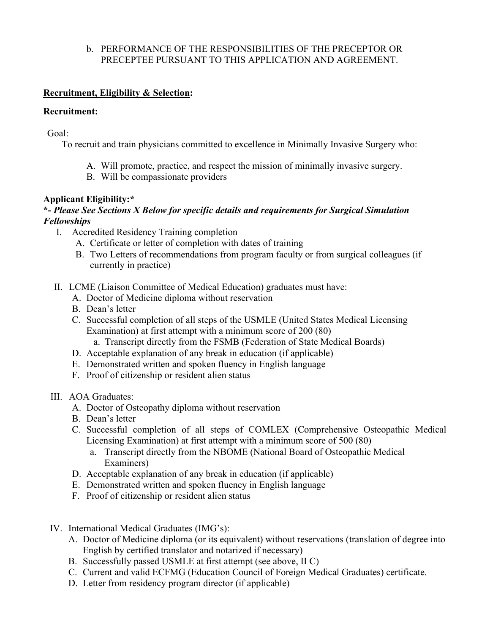#### b. PERFORMANCE OF THE RESPONSIBILITIES OF THE PRECEPTOR OR PRECEPTEE PURSUANT TO THIS APPLICATION AND AGREEMENT.

#### **Recruitment, Eligibility & Selection:**

#### **Recruitment:**

Goal:

To recruit and train physicians committed to excellence in Minimally Invasive Surgery who:

- A. Will promote, practice, and respect the mission of minimally invasive surgery.
- B. Will be compassionate providers

#### **Applicant Eligibility:\***

### **\*-** *Please See Sections X Below for specific details and requirements for Surgical Simulation Fellowships*

- I. Accredited Residency Training completion
	- A. Certificate or letter of completion with dates of training
	- B. Two Letters of recommendations from program faculty or from surgical colleagues (if currently in practice)
- II. LCME (Liaison Committee of Medical Education) graduates must have:
	- A. Doctor of Medicine diploma without reservation
	- B. Dean's letter
	- C. Successful completion of all steps of the USMLE (United States Medical Licensing Examination) at first attempt with a minimum score of 200 (80)
		- a. Transcript directly from the FSMB (Federation of State Medical Boards)
	- D. Acceptable explanation of any break in education (if applicable)
	- E. Demonstrated written and spoken fluency in English language
	- F. Proof of citizenship or resident alien status
- III. AOA Graduates:
	- A. Doctor of Osteopathy diploma without reservation
	- B. Dean's letter
	- C. Successful completion of all steps of COMLEX (Comprehensive Osteopathic Medical Licensing Examination) at first attempt with a minimum score of 500 (80)
		- a. Transcript directly from the NBOME (National Board of Osteopathic Medical Examiners)
	- D. Acceptable explanation of any break in education (if applicable)
	- E. Demonstrated written and spoken fluency in English language
	- F. Proof of citizenship or resident alien status
- IV. International Medical Graduates (IMG's):
	- A. Doctor of Medicine diploma (or its equivalent) without reservations (translation of degree into English by certified translator and notarized if necessary)
	- B. Successfully passed USMLE at first attempt (see above, II C)
	- C. Current and valid ECFMG (Education Council of Foreign Medical Graduates) certificate.
	- D. Letter from residency program director (if applicable)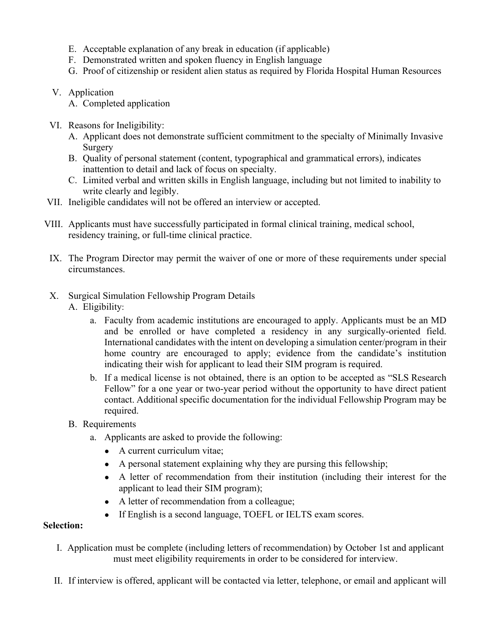- E. Acceptable explanation of any break in education (if applicable)
- F. Demonstrated written and spoken fluency in English language
- G. Proof of citizenship or resident alien status as required by Florida Hospital Human Resources
- V. Application
	- A. Completed application
- VI. Reasons for Ineligibility:
	- A. Applicant does not demonstrate sufficient commitment to the specialty of Minimally Invasive **Surgery**
	- B. Quality of personal statement (content, typographical and grammatical errors), indicates inattention to detail and lack of focus on specialty.
	- C. Limited verbal and written skills in English language, including but not limited to inability to write clearly and legibly.
- VII. Ineligible candidates will not be offered an interview or accepted.
- VIII. Applicants must have successfully participated in formal clinical training, medical school, residency training, or full-time clinical practice.
- IX. The Program Director may permit the waiver of one or more of these requirements under special circumstances.
- X. Surgical Simulation Fellowship Program Details
	- A. Eligibility:
		- a. Faculty from academic institutions are encouraged to apply. Applicants must be an MD and be enrolled or have completed a residency in any surgically-oriented field. International candidates with the intent on developing a simulation center/program in their home country are encouraged to apply; evidence from the candidate's institution indicating their wish for applicant to lead their SIM program is required.
		- b. If a medical license is not obtained, there is an option to be accepted as "SLS Research Fellow" for a one year or two-year period without the opportunity to have direct patient contact. Additional specific documentation for the individual Fellowship Program may be required.
	- B. Requirements
		- a. Applicants are asked to provide the following:
			- A current curriculum vitae;
			- A personal statement explaining why they are pursing this fellowship;
			- A letter of recommendation from their institution (including their interest for the applicant to lead their SIM program);
			- A letter of recommendation from a colleague;
			- If English is a second language, TOEFL or IELTS exam scores.

### **Selection:**

- I. Application must be complete (including letters of recommendation) by October 1st and applicant must meet eligibility requirements in order to be considered for interview.
- II. If interview is offered, applicant will be contacted via letter, telephone, or email and applicant will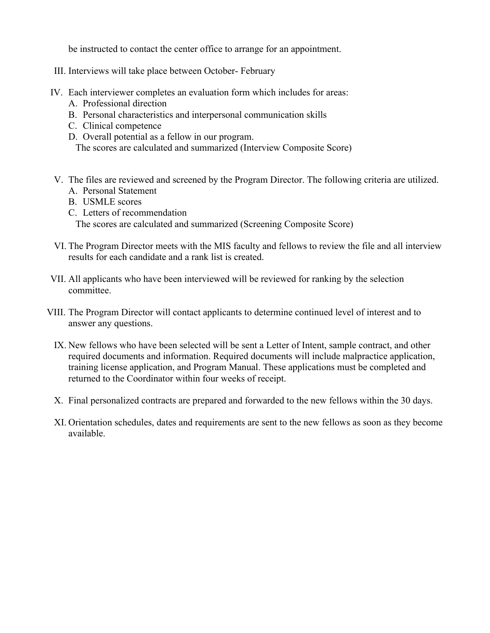be instructed to contact the center office to arrange for an appointment.

- III. Interviews will take place between October- February
- IV. Each interviewer completes an evaluation form which includes for areas:
	- A. Professional direction
	- B. Personal characteristics and interpersonal communication skills
	- C. Clinical competence
	- D. Overall potential as a fellow in our program.

The scores are calculated and summarized (Interview Composite Score)

- V. The files are reviewed and screened by the Program Director. The following criteria are utilized.
	- A. Personal Statement
	- B. USMLE scores
	- C. Letters of recommendation

The scores are calculated and summarized (Screening Composite Score)

- VI. The Program Director meets with the MIS faculty and fellows to review the file and all interview results for each candidate and a rank list is created.
- VII. All applicants who have been interviewed will be reviewed for ranking by the selection committee.
- VIII. The Program Director will contact applicants to determine continued level of interest and to answer any questions.
	- IX. New fellows who have been selected will be sent a Letter of Intent, sample contract, and other required documents and information. Required documents will include malpractice application, training license application, and Program Manual. These applications must be completed and returned to the Coordinator within four weeks of receipt.
	- X. Final personalized contracts are prepared and forwarded to the new fellows within the 30 days.
	- XI. Orientation schedules, dates and requirements are sent to the new fellows as soon as they become available.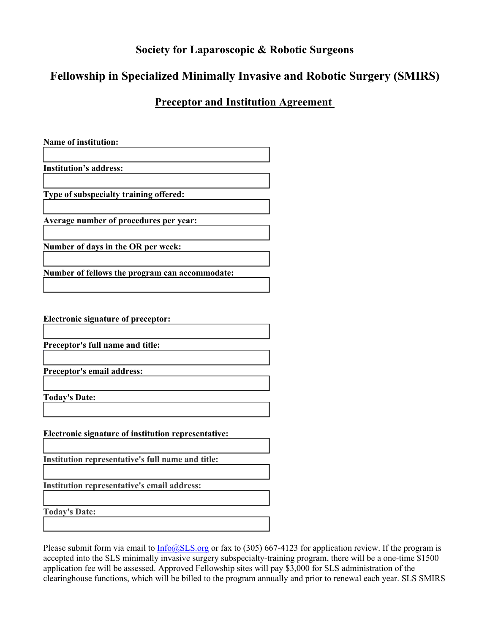# **Society for Laparoscopic & Robotic Surgeons**

# **Fellowship in Specialized Minimally Invasive and Robotic Surgery (SMIRS)**

## **Preceptor and Institution Agreement**

| <b>Name of institution:</b>                         |
|-----------------------------------------------------|
|                                                     |
|                                                     |
| <b>Institution's address:</b>                       |
|                                                     |
|                                                     |
| Type of subspecialty training offered:              |
|                                                     |
|                                                     |
| Average number of procedures per year:              |
|                                                     |
|                                                     |
| Number of days in the OR per week:                  |
|                                                     |
|                                                     |
| Number of fellows the program can accommodate:      |
|                                                     |
|                                                     |
|                                                     |
|                                                     |
| Electronic signature of preceptor:                  |
|                                                     |
|                                                     |
| Preceptor's full name and title:                    |
|                                                     |
|                                                     |
| Preceptor's email address:                          |
|                                                     |
|                                                     |
| <b>Today's Date:</b>                                |
|                                                     |
|                                                     |
|                                                     |
| Electronic signature of institution representative: |
|                                                     |
|                                                     |
| Institution representative's full name and title:   |
|                                                     |
|                                                     |
| Institution representative's email address:         |
|                                                     |
|                                                     |
| <b>Today's Date:</b>                                |

Please submit form via email to  $Info@SLS.org$  or fax to (305) 667-4123 for application review. If the program is accepted into the SLS minimally invasive surgery subspecialty-training program, there will be a one-time \$1500 application fee will be assessed. Approved Fellowship sites will pay \$3,000 for SLS administration of the clearinghouse functions, which will be billed to the program annually and prior to renewal each year. SLS SMIRS